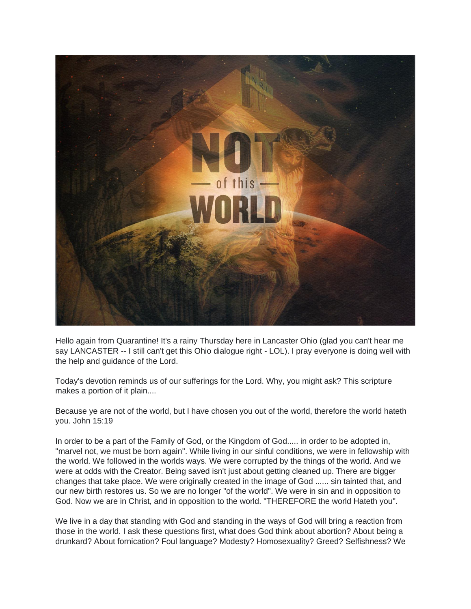

Hello again from Quarantine! It's a rainy Thursday here in Lancaster Ohio (glad you can't hear me say LANCASTER -- I still can't get this Ohio dialogue right - LOL). I pray everyone is doing well with the help and guidance of the Lord.

Today's devotion reminds us of our sufferings for the Lord. Why, you might ask? This scripture makes a portion of it plain....

Because ye are not of the world, but I have chosen you out of the world, therefore the world hateth you. John 15:19

In order to be a part of the Family of God, or the Kingdom of God..... in order to be adopted in, "marvel not, we must be born again". While living in our sinful conditions, we were in fellowship with the world. We followed in the worlds ways. We were corrupted by the things of the world. And we were at odds with the Creator. Being saved isn't just about getting cleaned up. There are bigger changes that take place. We were originally created in the image of God ...... sin tainted that, and our new birth restores us. So we are no longer "of the world". We were in sin and in opposition to God. Now we are in Christ, and in opposition to the world. "THEREFORE the world Hateth you".

We live in a day that standing with God and standing in the ways of God will bring a reaction from those in the world. I ask these questions first, what does God think about abortion? About being a drunkard? About fornication? Foul language? Modesty? Homosexuality? Greed? Selfishness? We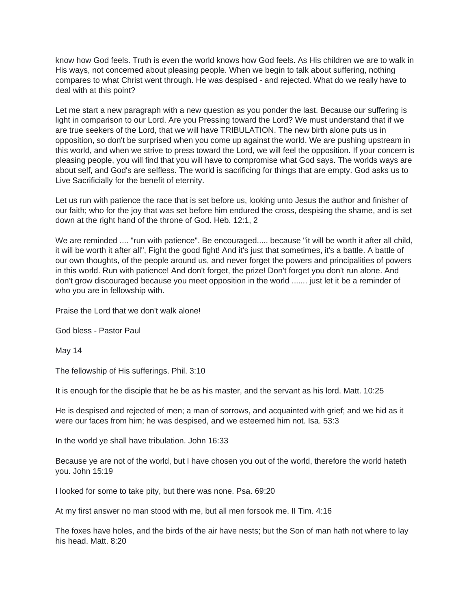know how God feels. Truth is even the world knows how God feels. As His children we are to walk in His ways, not concerned about pleasing people. When we begin to talk about suffering, nothing compares to what Christ went through. He was despised - and rejected. What do we really have to deal with at this point?

Let me start a new paragraph with a new question as you ponder the last. Because our suffering is light in comparison to our Lord. Are you Pressing toward the Lord? We must understand that if we are true seekers of the Lord, that we will have TRIBULATION. The new birth alone puts us in opposition, so don't be surprised when you come up against the world. We are pushing upstream in this world, and when we strive to press toward the Lord, we will feel the opposition. If your concern is pleasing people, you will find that you will have to compromise what God says. The worlds ways are about self, and God's are selfless. The world is sacrificing for things that are empty. God asks us to Live Sacrificially for the benefit of eternity.

Let us run with patience the race that is set before us, looking unto Jesus the author and finisher of our faith; who for the joy that was set before him endured the cross, despising the shame, and is set down at the right hand of the throne of God. Heb. 12:1, 2

We are reminded .... "run with patience". Be encouraged..... because "it will be worth it after all child, it will be worth it after all", Fight the good fight! And it's just that sometimes, it's a battle. A battle of our own thoughts, of the people around us, and never forget the powers and principalities of powers in this world. Run with patience! And don't forget, the prize! Don't forget you don't run alone. And don't grow discouraged because you meet opposition in the world ....... just let it be a reminder of who you are in fellowship with.

Praise the Lord that we don't walk alone!

God bless - Pastor Paul

May 14

The fellowship of His sufferings. Phil. 3:10

It is enough for the disciple that he be as his master, and the servant as his lord. Matt. 10:25

He is despised and rejected of men; a man of sorrows, and acquainted with grief; and we hid as it were our faces from him; he was despised, and we esteemed him not. Isa. 53:3

In the world ye shall have tribulation. John 16:33

Because ye are not of the world, but I have chosen you out of the world, therefore the world hateth you. John 15:19

I looked for some to take pity, but there was none. Psa. 69:20

At my first answer no man stood with me, but all men forsook me. II Tim. 4:16

The foxes have holes, and the birds of the air have nests; but the Son of man hath not where to lay his head. Matt. 8:20